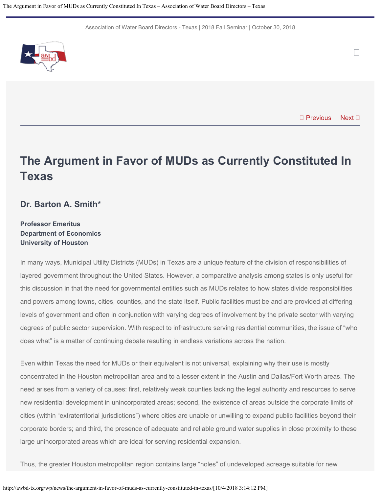Association of Water Board Directors - Texas | 2018 Fall Seminar | October 30, 2018

<span id="page-0-0"></span>

□ [Previous](http://awbd-tx.org/wp/water-smart/water-smart-program-earns-water-conservation-award-from-awwa/) [Next](http://awbd-tx.org/wp/news/muds-disaster-preparedness-and-hurricane-harvey/) □

 $\Box$ 

# **The Argument in Favor of MUDs as Currently Constituted In Texas**

### **Dr. Barton A. Smith\***

**Professor Emeritus Department of Economics University of Houston**

In many ways, Municipal Utility Districts (MUDs) in Texas are a unique feature of the division of responsibilities of layered government throughout the United States. However, a comparative analysis among states is only useful for this discussion in that the need for governmental entities such as MUDs relates to how states divide responsibilities and powers among towns, cities, counties, and the state itself. Public facilities must be and are provided at differing levels of government and often in conjunction with varying degrees of involvement by the private sector with varying degrees of public sector supervision. With respect to infrastructure serving residential communities, the issue of "who does what" is a matter of continuing debate resulting in endless variations across the nation.

**CONTACT US TODAY TO JOIN (281) 350-7090** large unincorporated areas which are ideal for serving residential expansion. Even within Texas the need for MUDs or their equivalent is not universal, explaining why their use is mostly concentrated in the Houston metropolitan area and to a lesser extent in the Austin and Dallas/Fort Worth areas. The need arises from a variety of causes: first, relatively weak counties lacking the legal authority and resources to serve new residential development in unincorporated areas; second, the existence of areas outside the corporate limits of cities (within "extraterritorial jurisdictions") where cities are unable or unwilling to expand public facilities beyond their corporate borders; and third, the presence of adequate and reliable ground water supplies in close proximity to these

Thus, the greater Houston metropolitan region contains large "holes" of undeveloped acreage suitable for new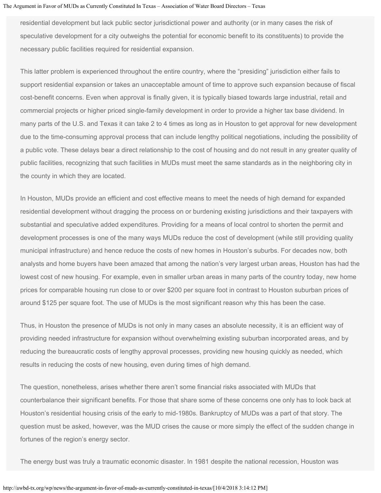residential development but lack public sector jurisdictional power and authority (or in many cases the risk of speculative development for a city outweighs the potential for economic benefit to its constituents) to provide the necessary public facilities required for residential expansion.

This latter problem is experienced throughout the entire country, where the "presiding" jurisdiction either fails to support residential expansion or takes an unacceptable amount of time to approve such expansion because of fiscal cost-benefit concerns. Even when approval is finally given, it is typically biased towards large industrial, retail and commercial projects or higher priced single-family development in order to provide a higher tax base dividend. In many parts of the U.S. and Texas it can take 2 to 4 times as long as in Houston to get approval for new development due to the time-consuming approval process that can include lengthy political negotiations, including the possibility of a public vote. These delays bear a direct relationship to the cost of housing and do not result in any greater quality of public facilities, recognizing that such facilities in MUDs must meet the same standards as in the neighboring city in the county in which they are located.

In Houston, MUDs provide an efficient and cost effective means to meet the needs of high demand for expanded residential development without dragging the process on or burdening existing jurisdictions and their taxpayers with substantial and speculative added expenditures. Providing for a means of local control to shorten the permit and development processes is one of the many ways MUDs reduce the cost of development (while still providing quality municipal infrastructure) and hence reduce the costs of new homes in Houston's suburbs. For decades now, both analysts and home buyers have been amazed that among the nation's very largest urban areas, Houston has had the lowest cost of new housing. For example, even in smaller urban areas in many parts of the country today, new home prices for comparable housing run close to or over \$200 per square foot in contrast to Houston suburban prices of around \$125 per square foot. The use of MUDs is the most significant reason why this has been the case.

Thus, in Houston the presence of MUDs is not only in many cases an absolute necessity, it is an efficient way of providing needed infrastructure for expansion without overwhelming existing suburban incorporated areas, and by reducing the bureaucratic costs of lengthy approval processes, providing new housing quickly as needed, which results in reducing the costs of new housing, even during times of high demand.

The question, nonetheless, arises whether there aren't some financial risks associated with MUDs that counterbalance their significant benefits. For those that share some of these concerns one only has to look back at Houston's residential housing crisis of the early to mid-1980s. Bankruptcy of MUDs was a part of that story. The question must be asked, however, was the MUD crises the cause or more simply the effect of the sudden change in fortunes of the region's energy sector.

The energy bust was truly a traumatic economic disaster. In 1981 despite the national recession, Houston was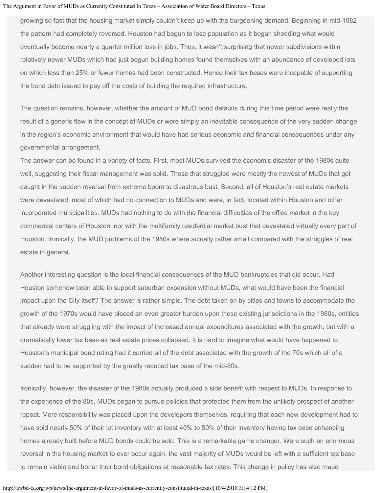#### The Argument in Favor of MUDs as Currently Constituted In Texas – Association of Water Board Directors – Texas

growing so fast that the housing market simply couldn't keep up with the burgeoning demand. Beginning in mid-1982 the pattern had completely reversed. Houston had begun to lose population as it began shedding what would eventually become nearly a quarter million loss in jobs. Thus, it wasn't surprising that newer subdivisions within relatively newer MUDs which had just begun building homes found themselves with an abundance of developed lots on which less than 25% or fewer homes had been constructed. Hence their tax bases were incapable of supporting the bond debt issued to pay off the costs of building the required infrastructure.

The question remains, however, whether the amount of MUD bond defaults during this time period were really the result of a generic flaw in the concept of MUDs or were simply an inevitable consequence of the very sudden change in the region's economic environment that would have had serious economic and financial consequences under any governmental arrangement.

The answer can be found in a variety of facts. First, most MUDs survived the economic disaster of the 1980s quite well, suggesting their fiscal management was solid. Those that struggled were mostly the newest of MUDs that got caught in the sudden reversal from extreme boom to disastrous bust. Second, all of Houston's real estate markets were devastated, most of which had no connection to MUDs and were, in fact, located within Houston and other incorporated municipalities. MUDs had nothing to do with the financial difficulties of the office market in the key commercial centers of Houston, nor with the multifamily residential market bust that devastated virtually every part of Houston. Ironically, the MUD problems of the 1980s where actually rather small compared with the struggles of real estate in general.

Another interesting question is the local financial consequences of the MUD bankruptcies that did occur. Had Houston somehow been able to support suburban expansion without MUDs, what would have been the financial impact upon the City itself? The answer is rather simple. The debt taken on by cities and towns to accommodate the growth of the 1970s would have placed an even greater burden upon those existing jurisdictions in the 1980s, entities that already were struggling with the impact of increased annual expenditures associated with the growth, but with a dramatically lower tax base as real estate prices collapsed. It is hard to imagine what would have happened to Houston's municipal bond rating had it carried all of the debt associated with the growth of the 70s which all of a sudden had to be supported by the greatly reduced tax base of the mid-80s.

Ironically, however, the disaster of the 1980s actually produced a side benefit with respect to MUDs. In response to the experience of the 80s, MUDs began to pursue policies that protected them from the unlikely prospect of another repeat. More responsibility was placed upon the developers themselves, requiring that each new development had to have sold nearly 50% of their lot inventory with at least 40% to 50% of their inventory having tax base enhancing homes already built before MUD bonds could be sold. This is a remarkable game changer. Were such an enormous reversal in the housing market to ever occur again, the vast majority of MUDs would be left with a sufficient tax base to remain viable and honor their bond obligations at reasonable tax rates. This change in policy has also made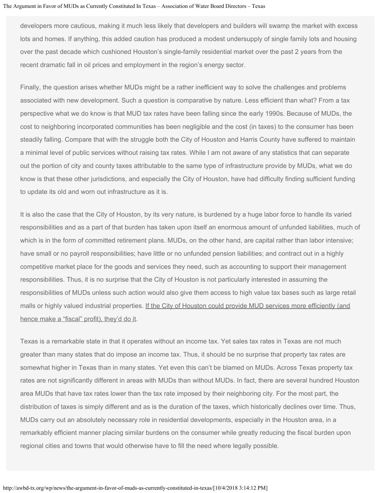developers more cautious, making it much less likely that developers and builders will swamp the market with excess lots and homes. If anything, this added caution has produced a modest undersupply of single family lots and housing over the past decade which cushioned Houston's single-family residential market over the past 2 years from the recent dramatic fall in oil prices and employment in the region's energy sector.

Finally, the question arises whether MUDs might be a rather inefficient way to solve the challenges and problems associated with new development. Such a question is comparative by nature. Less efficient than what? From a tax perspective what we do know is that MUD tax rates have been falling since the early 1990s. Because of MUDs, the cost to neighboring incorporated communities has been negligible and the cost (in taxes) to the consumer has been steadily falling. Compare that with the struggle both the City of Houston and Harris County have suffered to maintain a minimal level of public services without raising tax rates. While I am not aware of any statistics that can separate out the portion of city and county taxes attributable to the same type of infrastructure provide by MUDs, what we do know is that these other jurisdictions, and especially the City of Houston, have had difficulty finding sufficient funding to update its old and worn out infrastructure as it is.

It is also the case that the City of Houston, by its very nature, is burdened by a huge labor force to handle its varied responsibilities and as a part of that burden has taken upon itself an enormous amount of unfunded liabilities, much of which is in the form of committed retirement plans. MUDs, on the other hand, are capital rather than labor intensive; have small or no payroll responsibilities; have little or no unfunded pension liabilities; and contract out in a highly competitive market place for the goods and services they need, such as accounting to support their management responsibilities. Thus, it is no surprise that the City of Houston is not particularly interested in assuming the responsibilities of MUDs unless such action would also give them access to high value tax bases such as large retail malls or highly valued industrial properties. If the City of Houston could provide MUD services more efficiently (and hence make a "fiscal" profit), they'd do it.

Texas is a remarkable state in that it operates without an income tax. Yet sales tax rates in Texas are not much greater than many states that do impose an income tax. Thus, it should be no surprise that property tax rates are somewhat higher in Texas than in many states. Yet even this can't be blamed on MUDs. Across Texas property tax rates are not significantly different in areas with MUDs than without MUDs. In fact, there are several hundred Houston area MUDs that have tax rates lower than the tax rate imposed by their neighboring city. For the most part, the distribution of taxes is simply different and as is the duration of the taxes, which historically declines over time. Thus, MUDs carry out an absolutely necessary role in residential developments, especially in the Houston area, in a remarkably efficient manner placing similar burdens on the consumer while greatly reducing the fiscal burden upon regional cities and towns that would otherwise have to fill the need where legally possible.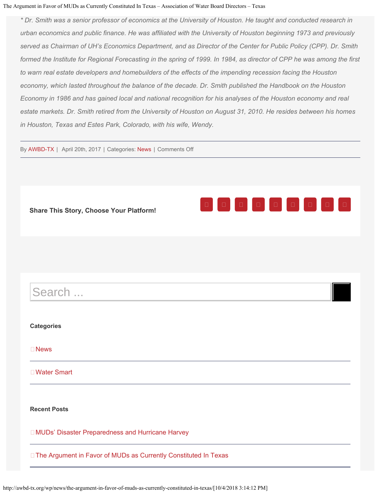#### The Argument in Favor of MUDs as Currently Constituted In Texas – Association of Water Board Directors – Texas

*\* Dr. Smith was a senior professor of economics at the University of Houston. He taught and conducted research in urban economics and public finance. He was affiliated with the University of Houston beginning 1973 and previously served as Chairman of UH's Economics Department, and as Director of the Center for Public Policy (CPP). Dr. Smith formed the Institute for Regional Forecasting in the spring of 1999. In 1984, as director of CPP he was among the first to warn real estate developers and homebuilders of the effects of the impending recession facing the Houston economy, which lasted throughout the balance of the decade. Dr. Smith published the Handbook on the Houston Economy in 1986 and has gained local and national recognition for his analyses of the Houston economy and real estate markets. Dr. Smith retired from the University of Houston on August 31, 2010. He resides between his homes in Houston, Texas and Estes Park, Colorado, with his wife, Wendy.*

By [AWBD-TX](http://awbd-tx.org/wp/author/awbdtx/) | April 20th, 2017 | Categories: [News](http://awbd-tx.org/wp/category/news/) | Comments Off



**Share This Story, Choose Your Platform!**

## Search ...

**Categories**

**□**[News](http://awbd-tx.org/wp/category/news/)

[Water Smart](http://awbd-tx.org/wp/category/water-smart/)

**Recent Posts**

□ [MUDs' Disaster Preparedness and Hurricane Harvey](http://awbd-tx.org/wp/news/muds-disaster-preparedness-and-hurricane-harvey/)

□ [The Argument in Favor of MUDs as Currently Constituted In Texas](#page-0-0)